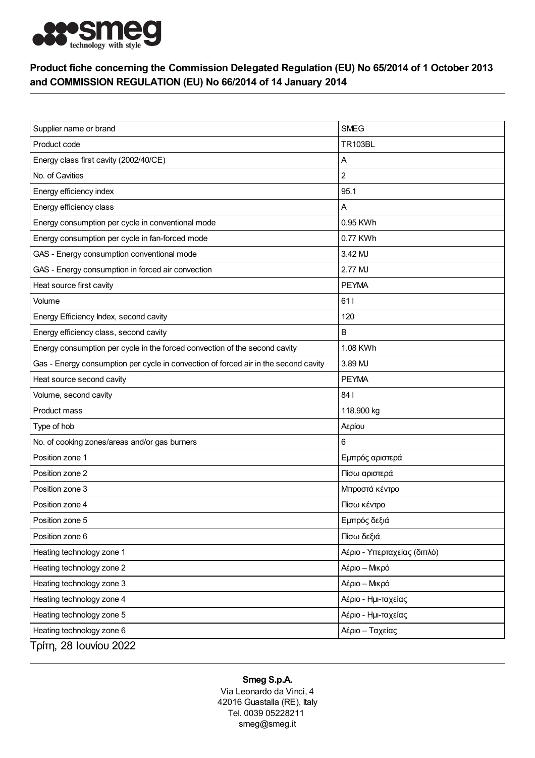

## Product fiche concerning the Commission Delegated Regulation (EU) No 65/2014 of 1 October 2013 and COMMISSION REGULATION (EU) No 66/2014 of 14 January 2014

| Supplier name or brand                                                              | <b>SMEG</b>                 |
|-------------------------------------------------------------------------------------|-----------------------------|
| Product code                                                                        | <b>TR103BL</b>              |
| Energy class first cavity (2002/40/CE)                                              | Α                           |
| No. of Cavities                                                                     | $\overline{c}$              |
| Energy efficiency index                                                             | 95.1                        |
| Energy efficiency class                                                             | Α                           |
| Energy consumption per cycle in conventional mode                                   | 0.95 KWh                    |
| Energy consumption per cycle in fan-forced mode                                     | 0.77 KWh                    |
| GAS - Energy consumption conventional mode                                          | 3.42 MJ                     |
| GAS - Energy consumption in forced air convection                                   | 2.77 MJ                     |
| Heat source first cavity                                                            | <b>PEYMA</b>                |
| Volume                                                                              | 611                         |
| Energy Efficiency Index, second cavity                                              | 120                         |
| Energy efficiency class, second cavity                                              | B                           |
| Energy consumption per cycle in the forced convection of the second cavity          | 1.08 KWh                    |
| Gas - Energy consumption per cycle in convection of forced air in the second cavity | 3.89 MJ                     |
| Heat source second cavity                                                           | <b>PEYMA</b>                |
| Volume, second cavity                                                               | 84 I                        |
| Product mass                                                                        | 118.900 kg                  |
| Type of hob                                                                         | Αερίου                      |
| No. of cooking zones/areas and/or gas burners                                       | 6                           |
| Position zone 1                                                                     | Εμπρός αριστερά             |
| Position zone 2                                                                     | Πίσω αριστερά               |
| Position zone 3                                                                     | Μπροστά κέντρο              |
| Position zone 4                                                                     | Πίσω κέντρο                 |
| Position zone 5                                                                     | Εμπρός δεξιά                |
| Position zone 6                                                                     | Πίσω δεξιά                  |
| Heating technology zone 1                                                           | Αέριο - Υπερταχείας (διπλό) |
| Heating technology zone 2                                                           | Αέριο - Μικρό               |
| Heating technology zone 3                                                           | Αέριο - Μικρό               |
| Heating technology zone 4                                                           | Αέριο - Ημι-ταχείας         |
| Heating technology zone 5                                                           | Αέριο - Ημι-ταχείας         |
| Heating technology zone 6                                                           | Αέριο - Ταχείας             |
| Τρίτη, 28 Ιουνίου 2022                                                              |                             |

## Smeg S.p.A.

Via Leonardo da Vinci, 4 42016 Guastalla (RE), Italy Tel. 0039 05228211 smeg@smeg.it